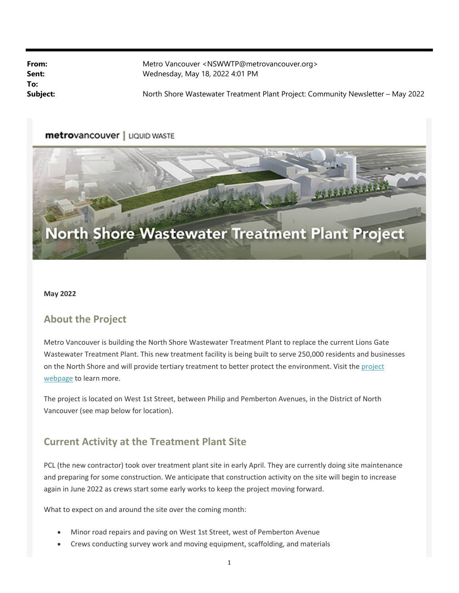**To:**

**From:** Metro Vancouver <NSWWTP@metrovancouver.org> **Sent:** Wednesday, May 18, 2022 4:01 PM

Subject: North Shore Wastewater Treatment Plant Project: Community Newsletter – May 2022

#### metrovancouver | LIQUID WASTE



#### **May 2022**

### **About the Project**

Metro Vancouver is building the North Shore Wastewater Treatment Plant to replace the current Lions Gate Wastewater Treatment Plant. This new treatment facility is being built to serve 250,000 residents and businesses on the North Shore and will provide tertiary treatment to better protect the environment. Visit the project webpage to learn more.

The project is located on West 1st Street, between Philip and Pemberton Avenues, in the District of North Vancouver (see map below for location).

### **Current Activity at the Treatment Plant Site**

PCL (the new contractor) took over treatment plant site in early April. They are currently doing site maintenance and preparing for some construction. We anticipate that construction activity on the site will begin to increase again in June 2022 as crews start some early works to keep the project moving forward.

What to expect on and around the site over the coming month:

- Minor road repairs and paving on West 1st Street, west of Pemberton Avenue
- Crews conducting survey work and moving equipment, scaffolding, and materials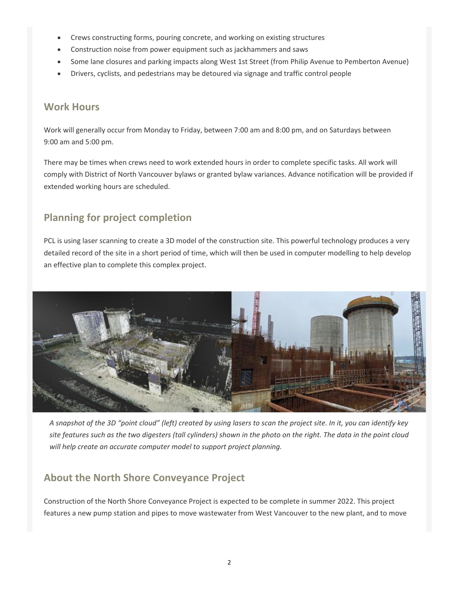- Crews constructing forms, pouring concrete, and working on existing structures
- Construction noise from power equipment such as jackhammers and saws
- Some lane closures and parking impacts along West 1st Street (from Philip Avenue to Pemberton Avenue)
- Drivers, cyclists, and pedestrians may be detoured via signage and traffic control people

### **Work Hours**

Work will generally occur from Monday to Friday, between 7:00 am and 8:00 pm, and on Saturdays between 9:00 am and 5:00 pm.

There may be times when crews need to work extended hours in order to complete specific tasks. All work will comply with District of North Vancouver bylaws or granted bylaw variances. Advance notification will be provided if extended working hours are scheduled.

# **Planning for project completion**

PCL is using laser scanning to create a 3D model of the construction site. This powerful technology produces a very detailed record of the site in a short period of time, which will then be used in computer modelling to help develop an effective plan to complete this complex project.



*A snapshot of the 3D "point cloud" (left) created by using lasers to scan the project site. In it, you can identify key site features such as the two digesters (tall cylinders) shown in the photo on the right. The data in the point cloud will help create an accurate computer model to support project planning.* 

# **About the North Shore Conveyance Project**

Construction of the North Shore Conveyance Project is expected to be complete in summer 2022. This project features a new pump station and pipes to move wastewater from West Vancouver to the new plant, and to move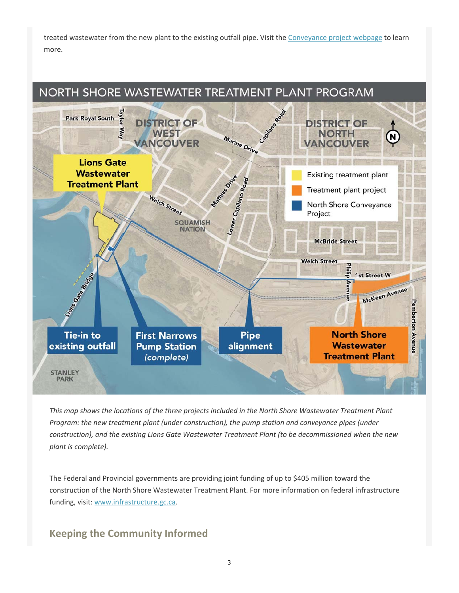treated wastewater from the new plant to the existing outfall pipe. Visit the Conveyance project webpage to learn more.



*This map shows the locations of the three projects included in the North Shore Wastewater Treatment Plant Program: the new treatment plant (under construction), the pump station and conveyance pipes (under construction), and the existing Lions Gate Wastewater Treatment Plant (to be decommissioned when the new plant is complete).* 

The Federal and Provincial governments are providing joint funding of up to \$405 million toward the construction of the North Shore Wastewater Treatment Plant. For more information on federal infrastructure funding, visit: www.infrastructure.gc.ca.

## **Keeping the Community Informed**